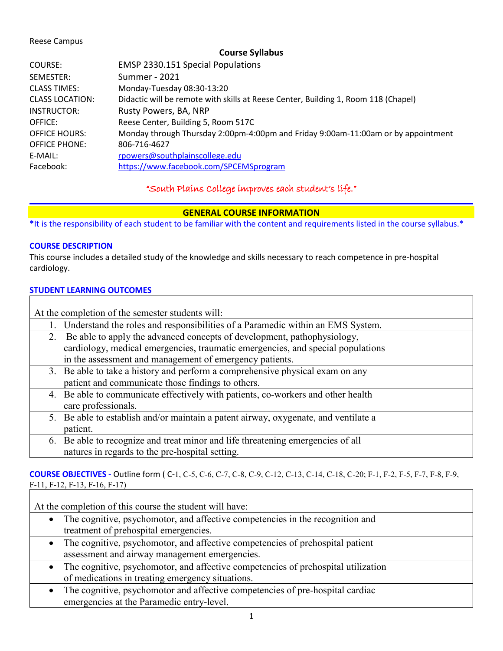# Reese Campus

# **Course Syllabus**

| COURSE:                | EMSP 2330.151 Special Populations                                                  |
|------------------------|------------------------------------------------------------------------------------|
| SEMESTER:              | Summer - 2021                                                                      |
| <b>CLASS TIMES:</b>    | Monday-Tuesday 08:30-13:20                                                         |
| <b>CLASS LOCATION:</b> | Didactic will be remote with skills at Reese Center, Building 1, Room 118 (Chapel) |
| <b>INSTRUCTOR:</b>     | Rusty Powers, BA, NRP                                                              |
| OFFICE:                | Reese Center, Building 5, Room 517C                                                |
| <b>OFFICE HOURS:</b>   | Monday through Thursday 2:00pm-4:00pm and Friday 9:00am-11:00am or by appointment  |
| <b>OFFICE PHONE:</b>   | 806-716-4627                                                                       |
| E-MAIL:                | rpowers@southplainscollege.edu                                                     |
| Facebook:              | https://www.facebook.com/SPCEMSprogram                                             |

"South Plains College improves each student's life."

# **GENERAL COURSE INFORMATION**

**\***It is the responsibility of each student to be familiar with the content and requirements listed in the course syllabus.\*

# **COURSE DESCRIPTION**

This course includes a detailed study of the knowledge and skills necessary to reach competence in pre-hospital cardiology.

# **STUDENT LEARNING OUTCOMES**

| At the completion of the semester students will: |                                                                                     |  |
|--------------------------------------------------|-------------------------------------------------------------------------------------|--|
|                                                  | Understand the roles and responsibilities of a Paramedic within an EMS System.      |  |
|                                                  | 2. Be able to apply the advanced concepts of development, pathophysiology,          |  |
|                                                  | cardiology, medical emergencies, traumatic emergencies, and special populations     |  |
|                                                  | in the assessment and management of emergency patients.                             |  |
|                                                  | 3. Be able to take a history and perform a comprehensive physical exam on any       |  |
|                                                  | patient and communicate those findings to others.                                   |  |
|                                                  | 4. Be able to communicate effectively with patients, co-workers and other health    |  |
|                                                  | care professionals.                                                                 |  |
|                                                  | 5. Be able to establish and/or maintain a patent airway, oxygenate, and ventilate a |  |
|                                                  | patient.                                                                            |  |
|                                                  | 6. Be able to recognize and treat minor and life threatening emergencies of all     |  |
|                                                  | natures in regards to the pre-hospital setting.                                     |  |

# **COURSE OBJECTIVES -** Outline form ( C-1, C-5, C-6, C-7, C-8, C-9, C-12, C-13, C-14, C-18, C-20; F-1, F-2, F-5, F-7, F-8, F-9, F-11, F-12, F-13, F-16, F-17)

At the completion of this course the student will have:

- The cognitive, psychomotor, and affective competencies in the recognition and treatment of prehospital emergencies.
- The cognitive, psychomotor, and affective competencies of prehospital patient assessment and airway management emergencies.
- The cognitive, psychomotor, and affective competencies of prehospital utilization of medications in treating emergency situations.
- The cognitive, psychomotor and affective competencies of pre-hospital cardiac emergencies at the Paramedic entry-level.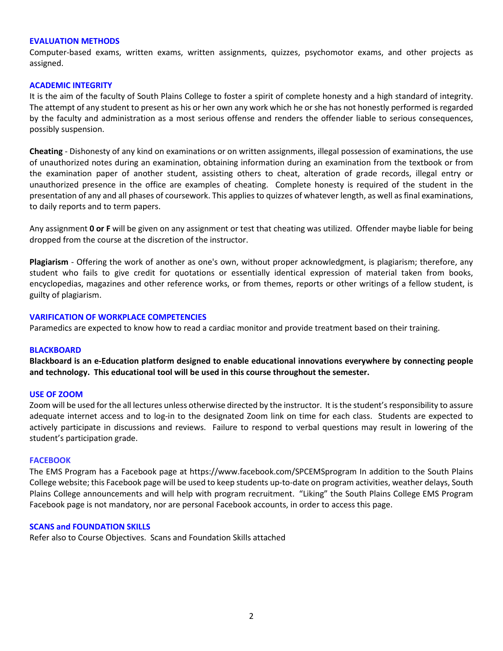#### **EVALUATION METHODS**

Computer-based exams, written exams, written assignments, quizzes, psychomotor exams, and other projects as assigned.

### **ACADEMIC INTEGRITY**

It is the aim of the faculty of South Plains College to foster a spirit of complete honesty and a high standard of integrity. The attempt of any student to present as his or her own any work which he or she has not honestly performed is regarded by the faculty and administration as a most serious offense and renders the offender liable to serious consequences, possibly suspension.

**Cheating** - Dishonesty of any kind on examinations or on written assignments, illegal possession of examinations, the use of unauthorized notes during an examination, obtaining information during an examination from the textbook or from the examination paper of another student, assisting others to cheat, alteration of grade records, illegal entry or unauthorized presence in the office are examples of cheating. Complete honesty is required of the student in the presentation of any and all phases of coursework. This applies to quizzes of whatever length, as well as final examinations, to daily reports and to term papers.

Any assignment **0 or F** will be given on any assignment or test that cheating was utilized. Offender maybe liable for being dropped from the course at the discretion of the instructor.

**Plagiarism** - Offering the work of another as one's own, without proper acknowledgment, is plagiarism; therefore, any student who fails to give credit for quotations or essentially identical expression of material taken from books, encyclopedias, magazines and other reference works, or from themes, reports or other writings of a fellow student, is guilty of plagiarism.

### **VARIFICATION OF WORKPLACE COMPETENCIES**

Paramedics are expected to know how to read a cardiac monitor and provide treatment based on their training.

### **BLACKBOARD**

**Blackboard is an e-Education platform designed to enable educational innovations everywhere by connecting people and technology. This educational tool will be used in this course throughout the semester.** 

### **USE OF ZOOM**

Zoom will be used for the all lectures unless otherwise directed by the instructor. It is the student's responsibility to assure adequate internet access and to log-in to the designated Zoom link on time for each class. Students are expected to actively participate in discussions and reviews. Failure to respond to verbal questions may result in lowering of the student's participation grade.

#### **FACEBOOK**

The EMS Program has a Facebook page at https://www.facebook.com/SPCEMSprogram In addition to the South Plains College website; this Facebook page will be used to keep students up-to-date on program activities, weather delays, South Plains College announcements and will help with program recruitment. "Liking" the South Plains College EMS Program Facebook page is not mandatory, nor are personal Facebook accounts, in order to access this page.

### **SCANS and FOUNDATION SKILLS**

Refer also to Course Objectives. Scans and Foundation Skills attached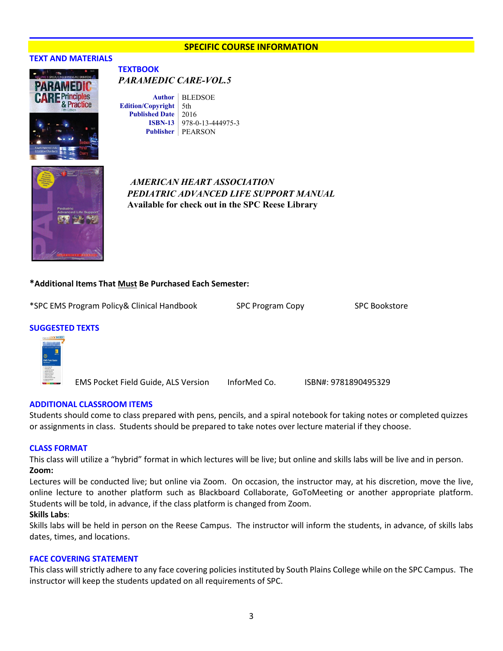## **SPECIFIC COURSE INFORMATION**

### **TEXT AND MATERIALS**



### **TEXTBOOK** *PARAMEDIC CARE-VOL.5*

Author BLEDSOE **Edition/Copyright** 5th **Published Date** 2016 **ISBN-13** 978-0-13-444975-3 **Publisher** PEARSON



# **B** *AMERICAN HEART ASSOCIATION PEDIATRIC ADVANCED LIFE SUPPORT MANUAL*  **Available for check out in the SPC Reese Library**

#### **\*Additional Items That Must Be Purchased Each Semester:**

\*SPC EMS Program Policy& Clinical Handbook SPC Program Copy SPC Bookstore

### **SUGGESTED TEXTS**



EMS Pocket Field Guide, ALS Version InforMed Co. ISBN#: 9781890495329

#### **ADDITIONAL CLASSROOM ITEMS**

Students should come to class prepared with pens, pencils, and a spiral notebook for taking notes or completed quizzes or assignments in class. Students should be prepared to take notes over lecture material if they choose.

### **CLASS FORMAT**

This class will utilize a "hybrid" format in which lectures will be live; but online and skills labs will be live and in person. **Zoom:**

Lectures will be conducted live; but online via Zoom. On occasion, the instructor may, at his discretion, move the live, online lecture to another platform such as Blackboard Collaborate, GoToMeeting or another appropriate platform. Students will be told, in advance, if the class platform is changed from Zoom.

#### **Skills Labs**:

Skills labs will be held in person on the Reese Campus. The instructor will inform the students, in advance, of skills labs dates, times, and locations.

#### **FACE COVERING STATEMENT**

This class will strictly adhere to any face covering policies instituted by South Plains College while on the SPC Campus. The instructor will keep the students updated on all requirements of SPC.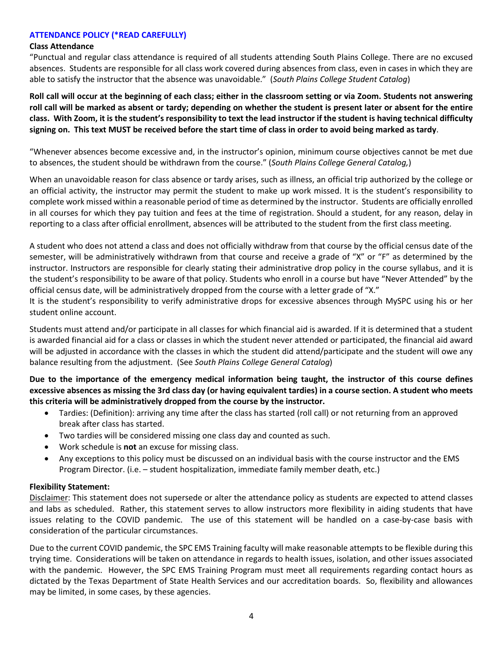# **ATTENDANCE POLICY (\*READ CAREFULLY)**

### **Class Attendance**

"Punctual and regular class attendance is required of all students attending South Plains College. There are no excused absences. Students are responsible for all class work covered during absences from class, even in cases in which they are able to satisfy the instructor that the absence was unavoidable." (*South Plains College Student Catalog*)

**Roll call will occur at the beginning of each class; either in the classroom setting or via Zoom. Students not answering roll call will be marked as absent or tardy; depending on whether the student is present later or absent for the entire class. With Zoom, it is the student's responsibility to text the lead instructor if the student is having technical difficulty signing on. This text MUST be received before the start time of class in order to avoid being marked as tardy**.

"Whenever absences become excessive and, in the instructor's opinion, minimum course objectives cannot be met due to absences, the student should be withdrawn from the course." (*South Plains College General Catalog,*)

When an unavoidable reason for class absence or tardy arises, such as illness, an official trip authorized by the college or an official activity, the instructor may permit the student to make up work missed. It is the student's responsibility to complete work missed within a reasonable period of time as determined by the instructor. Students are officially enrolled in all courses for which they pay tuition and fees at the time of registration. Should a student, for any reason, delay in reporting to a class after official enrollment, absences will be attributed to the student from the first class meeting.

A student who does not attend a class and does not officially withdraw from that course by the official census date of the semester, will be administratively withdrawn from that course and receive a grade of "X" or "F" as determined by the instructor. Instructors are responsible for clearly stating their administrative drop policy in the course syllabus, and it is the student's responsibility to be aware of that policy. Students who enroll in a course but have "Never Attended" by the official census date, will be administratively dropped from the course with a letter grade of "X."

It is the student's responsibility to verify administrative drops for excessive absences through MySPC using his or her student online account.

Students must attend and/or participate in all classes for which financial aid is awarded. If it is determined that a student is awarded financial aid for a class or classes in which the student never attended or participated, the financial aid award will be adjusted in accordance with the classes in which the student did attend/participate and the student will owe any balance resulting from the adjustment. (See *South Plains College General Catalog*)

**Due to the importance of the emergency medical information being taught, the instructor of this course defines excessive absences as missing the 3rd class day (or having equivalent tardies) in a course section. A student who meets this criteria will be administratively dropped from the course by the instructor.** 

- Tardies: (Definition): arriving any time after the class has started (roll call) or not returning from an approved break after class has started.
- Two tardies will be considered missing one class day and counted as such.
- Work schedule is **not** an excuse for missing class.
- Any exceptions to this policy must be discussed on an individual basis with the course instructor and the EMS Program Director. (i.e. – student hospitalization, immediate family member death, etc.)

# **Flexibility Statement:**

Disclaimer: This statement does not supersede or alter the attendance policy as students are expected to attend classes and labs as scheduled. Rather, this statement serves to allow instructors more flexibility in aiding students that have issues relating to the COVID pandemic. The use of this statement will be handled on a case-by-case basis with consideration of the particular circumstances.

Due to the current COVID pandemic, the SPC EMS Training faculty will make reasonable attempts to be flexible during this trying time. Considerations will be taken on attendance in regards to health issues, isolation, and other issues associated with the pandemic. However, the SPC EMS Training Program must meet all requirements regarding contact hours as dictated by the Texas Department of State Health Services and our accreditation boards. So, flexibility and allowances may be limited, in some cases, by these agencies.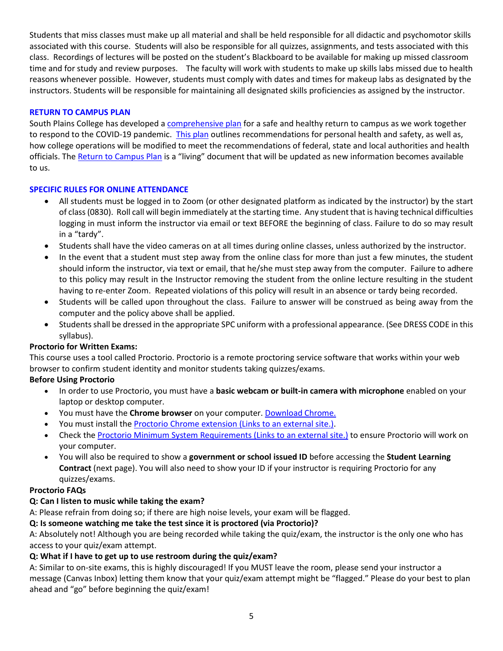Students that miss classes must make up all material and shall be held responsible for all didactic and psychomotor skills associated with this course. Students will also be responsible for all quizzes, assignments, and tests associated with this class. Recordings of lectures will be posted on the student's Blackboard to be available for making up missed classroom time and for study and review purposes. The faculty will work with students to make up skills labs missed due to health reasons whenever possible. However, students must comply with dates and times for makeup labs as designated by the instructors. Students will be responsible for maintaining all designated skills proficiencies as assigned by the instructor.

# **RETURN TO CAMPUS PLAN**

South Plains College has developed a [comprehensive plan](http://www.southplainscollege.edu/emergency/SPCReturnToCampusPlans.pdf) for a safe and healthy return to campus as we work together to respond to the COVID-19 pandemic. [This plan](http://www.southplainscollege.edu/emergency/SPCReturnToCampusPlans.pdf) outlines recommendations for personal health and safety, as well as, how college operations will be modified to meet the recommendations of federal, state and local authorities and health officials. The [Return to Campus Plan](http://www.southplainscollege.edu/emergency/SPCReturnToCampusPlans.pdf) is a "living" document that will be updated as new information becomes available to us.

# **SPECIFIC RULES FOR ONLINE ATTENDANCE**

- All students must be logged in to Zoom (or other designated platform as indicated by the instructor) by the start of class (0830). Roll call will begin immediately at the starting time. Any student that is having technical difficulties logging in must inform the instructor via email or text BEFORE the beginning of class. Failure to do so may result in a "tardy".
- Students shall have the video cameras on at all times during online classes, unless authorized by the instructor.
- In the event that a student must step away from the online class for more than just a few minutes, the student should inform the instructor, via text or email, that he/she must step away from the computer. Failure to adhere to this policy may result in the Instructor removing the student from the online lecture resulting in the student having to re-enter Zoom. Repeated violations of this policy will result in an absence or tardy being recorded.
- Students will be called upon throughout the class. Failure to answer will be construed as being away from the computer and the policy above shall be applied.
- Students shall be dressed in the appropriate SPC uniform with a professional appearance. (See DRESS CODE in this syllabus).

# **Proctorio for Written Exams:**

This course uses a tool called Proctorio. Proctorio is a remote proctoring service software that works within your web browser to confirm student identity and monitor students taking quizzes/exams.

# **Before Using Proctorio**

- In order to use Proctorio, you must have a **basic webcam or built-in camera with microphone** enabled on your laptop or desktop computer.
- You must have the **Chrome browser** on your computer. [Download Chrome.](https://www.google.com/chrome/browser/)
- You must install the Proctorio Chrome extension [\(Links to an external site.\).](https://getproctorio.com/)
- Check the [Proctorio Minimum System Requirements](https://proctorio.com/system-requirements) (Links to an external site.) to ensure Proctorio will work on your computer.
- You will also be required to show a **government or school issued ID** before accessing the **Student Learning Contract** (next page). You will also need to show your ID if your instructor is requiring Proctorio for any quizzes/exams.

# **Proctorio FAQs**

# **Q: Can I listen to music while taking the exam?**

A: Please refrain from doing so; if there are high noise levels, your exam will be flagged.

# **Q: Is someone watching me take the test since it is proctored (via Proctorio)?**

A: Absolutely not! Although you are being recorded while taking the quiz/exam, the instructor is the only one who has access to your quiz/exam attempt.

# **Q: What if I have to get up to use restroom during the quiz/exam?**

A: Similar to on-site exams, this is highly discouraged! If you MUST leave the room, please send your instructor a message (Canvas Inbox) letting them know that your quiz/exam attempt might be "flagged." Please do your best to plan ahead and "go" before beginning the quiz/exam!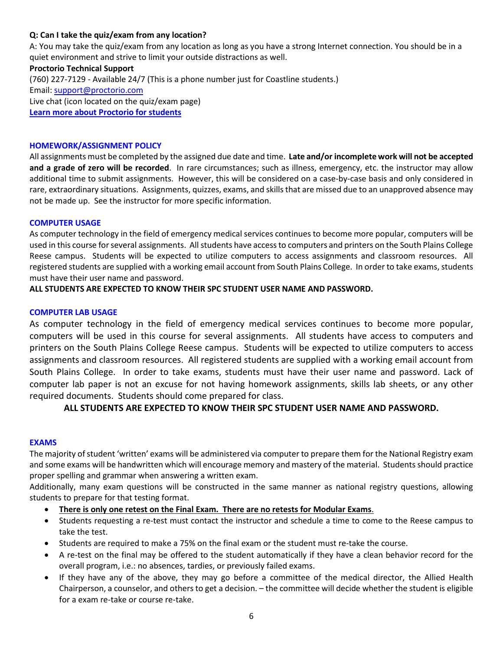# **Q: Can I take the quiz/exam from any location?**

A: You may take the quiz/exam from any location as long as you have a strong Internet connection. You should be in a quiet environment and strive to limit your outside distractions as well.

**Proctorio Technical Support**

(760) 227-7129 - Available 24/7 (This is a phone number just for Coastline students.) Email: [support@proctorio.com](mailto:support@proctorio.com) Live chat (icon located on the quiz/exam page) **[Learn more about Proctorio for students](https://proctorio.com/students)**

# **HOMEWORK/ASSIGNMENT POLICY**

All assignments must be completed by the assigned due date and time. **Late and/or incomplete work will not be accepted and a grade of zero will be recorded**. In rare circumstances; such as illness, emergency, etc. the instructor may allow additional time to submit assignments. However, this will be considered on a case-by-case basis and only considered in rare, extraordinary situations. Assignments, quizzes, exams, and skills that are missed due to an unapproved absence may not be made up. See the instructor for more specific information.

### **COMPUTER USAGE**

As computer technology in the field of emergency medical services continues to become more popular, computers will be used in this course for several assignments. All students have access to computers and printers on the South Plains College Reese campus. Students will be expected to utilize computers to access assignments and classroom resources. All registered students are supplied with a working email account from South Plains College. In order to take exams, students must have their user name and password.

**ALL STUDENTS ARE EXPECTED TO KNOW THEIR SPC STUDENT USER NAME AND PASSWORD.**

# **COMPUTER LAB USAGE**

As computer technology in the field of emergency medical services continues to become more popular, computers will be used in this course for several assignments. All students have access to computers and printers on the South Plains College Reese campus. Students will be expected to utilize computers to access assignments and classroom resources. All registered students are supplied with a working email account from South Plains College. In order to take exams, students must have their user name and password. Lack of computer lab paper is not an excuse for not having homework assignments, skills lab sheets, or any other required documents. Students should come prepared for class.

# **ALL STUDENTS ARE EXPECTED TO KNOW THEIR SPC STUDENT USER NAME AND PASSWORD.**

# **EXAMS**

The majority of student 'written' exams will be administered via computer to prepare them for the National Registry exam and some exams will be handwritten which will encourage memory and mastery of the material. Students should practice proper spelling and grammar when answering a written exam.

Additionally, many exam questions will be constructed in the same manner as national registry questions, allowing students to prepare for that testing format.

- **There is only one retest on the Final Exam. There are no retests for Modular Exams**.
- Students requesting a re-test must contact the instructor and schedule a time to come to the Reese campus to take the test.
- Students are required to make a 75% on the final exam or the student must re-take the course.
- A re-test on the final may be offered to the student automatically if they have a clean behavior record for the overall program, i.e.: no absences, tardies, or previously failed exams.
- If they have any of the above, they may go before a committee of the medical director, the Allied Health Chairperson, a counselor, and others to get a decision. – the committee will decide whether the student is eligible for a exam re-take or course re-take.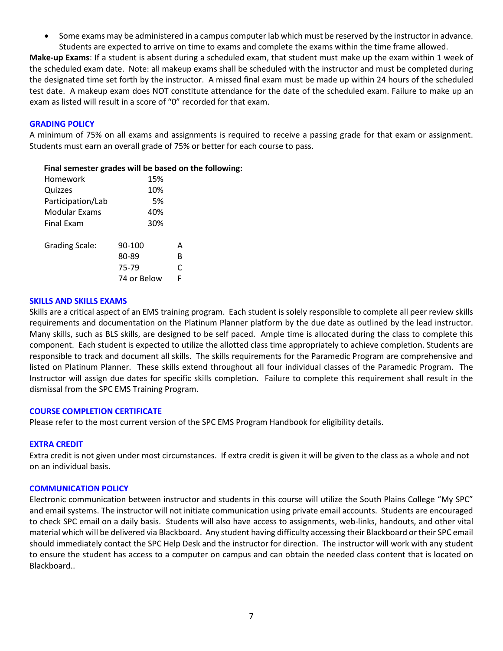• Some exams may be administered in a campus computer lab which must be reserved by the instructor in advance. Students are expected to arrive on time to exams and complete the exams within the time frame allowed.

**Make-up Exams**: If a student is absent during a scheduled exam, that student must make up the exam within 1 week of the scheduled exam date. Note: all makeup exams shall be scheduled with the instructor and must be completed during the designated time set forth by the instructor. A missed final exam must be made up within 24 hours of the scheduled test date. A makeup exam does NOT constitute attendance for the date of the scheduled exam. Failure to make up an exam as listed will result in a score of "0" recorded for that exam.

## **GRADING POLICY**

A minimum of 75% on all exams and assignments is required to receive a passing grade for that exam or assignment. Students must earn an overall grade of 75% or better for each course to pass.

| Final semester grades will be based on the following: |             |   |
|-------------------------------------------------------|-------------|---|
| Homework                                              | 15%         |   |
| Quizzes                                               | 10%         |   |
| Participation/Lab                                     | 5%          |   |
| <b>Modular Exams</b>                                  | 40%         |   |
| <b>Final Exam</b>                                     | 30%         |   |
| Grading Scale:                                        | 90-100      | А |
|                                                       | 80-89       | в |
|                                                       | 75-79       | C |
|                                                       | 74 or Below | F |

### **SKILLS AND SKILLS EXAMS**

Skills are a critical aspect of an EMS training program. Each student is solely responsible to complete all peer review skills requirements and documentation on the Platinum Planner platform by the due date as outlined by the lead instructor. Many skills, such as BLS skills, are designed to be self paced. Ample time is allocated during the class to complete this component. Each student is expected to utilize the allotted class time appropriately to achieve completion. Students are responsible to track and document all skills. The skills requirements for the Paramedic Program are comprehensive and listed on Platinum Planner. These skills extend throughout all four individual classes of the Paramedic Program. The Instructor will assign due dates for specific skills completion. Failure to complete this requirement shall result in the dismissal from the SPC EMS Training Program.

### **COURSE COMPLETION CERTIFICATE**

Please refer to the most current version of the SPC EMS Program Handbook for eligibility details.

### **EXTRA CREDIT**

Extra credit is not given under most circumstances. If extra credit is given it will be given to the class as a whole and not on an individual basis.

### **COMMUNICATION POLICY**

Electronic communication between instructor and students in this course will utilize the South Plains College "My SPC" and email systems. The instructor will not initiate communication using private email accounts. Students are encouraged to check SPC email on a daily basis. Students will also have access to assignments, web-links, handouts, and other vital material which will be delivered via Blackboard. Any student having difficulty accessing their Blackboard or their SPC email should immediately contact the SPC Help Desk and the instructor for direction. The instructor will work with any student to ensure the student has access to a computer on campus and can obtain the needed class content that is located on Blackboard..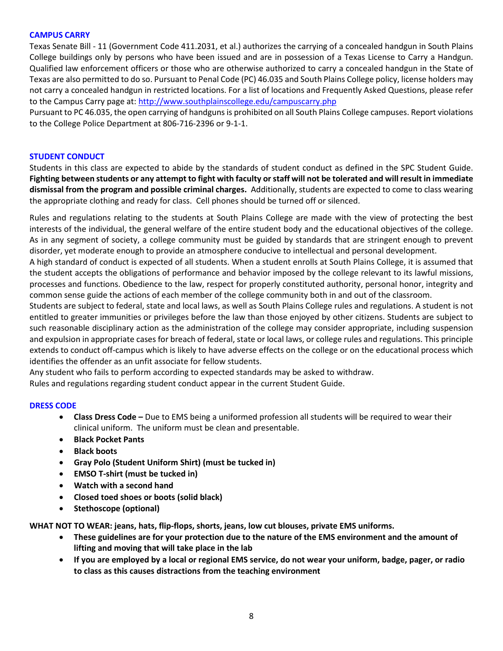## **CAMPUS CARRY**

Texas Senate Bill - 11 (Government Code 411.2031, et al.) authorizes the carrying of a concealed handgun in South Plains College buildings only by persons who have been issued and are in possession of a Texas License to Carry a Handgun. Qualified law enforcement officers or those who are otherwise authorized to carry a concealed handgun in the State of Texas are also permitted to do so. Pursuant to Penal Code (PC) 46.035 and South Plains College policy, license holders may not carry a concealed handgun in restricted locations. For a list of locations and Frequently Asked Questions, please refer to the Campus Carry page at: <http://www.southplainscollege.edu/campuscarry.php>

Pursuant to PC 46.035, the open carrying of handguns is prohibited on all South Plains College campuses. Report violations to the College Police Department at 806-716-2396 or 9-1-1.

### **STUDENT CONDUCT**

Students in this class are expected to abide by the standards of student conduct as defined in the SPC Student Guide. **Fighting between students or any attempt to fight with faculty or staff will not be tolerated and will result in immediate dismissal from the program and possible criminal charges.** Additionally, students are expected to come to class wearing the appropriate clothing and ready for class. Cell phones should be turned off or silenced.

Rules and regulations relating to the students at South Plains College are made with the view of protecting the best interests of the individual, the general welfare of the entire student body and the educational objectives of the college. As in any segment of society, a college community must be guided by standards that are stringent enough to prevent disorder, yet moderate enough to provide an atmosphere conducive to intellectual and personal development.

A high standard of conduct is expected of all students. When a student enrolls at South Plains College, it is assumed that the student accepts the obligations of performance and behavior imposed by the college relevant to its lawful missions, processes and functions. Obedience to the law, respect for properly constituted authority, personal honor, integrity and common sense guide the actions of each member of the college community both in and out of the classroom.

Students are subject to federal, state and local laws, as well as South Plains College rules and regulations. A student is not entitled to greater immunities or privileges before the law than those enjoyed by other citizens. Students are subject to such reasonable disciplinary action as the administration of the college may consider appropriate, including suspension and expulsion in appropriate cases for breach of federal, state or local laws, or college rules and regulations. This principle extends to conduct off-campus which is likely to have adverse effects on the college or on the educational process which identifies the offender as an unfit associate for fellow students.

Any student who fails to perform according to expected standards may be asked to withdraw.

Rules and regulations regarding student conduct appear in the current Student Guide.

### **DRESS CODE**

- **Class Dress Code –** Due to EMS being a uniformed profession all students will be required to wear their clinical uniform. The uniform must be clean and presentable.
- **Black Pocket Pants**
- **Black boots**
- **Gray Polo (Student Uniform Shirt) (must be tucked in)**
- **EMSO T-shirt (must be tucked in)**
- **Watch with a second hand**
- **Closed toed shoes or boots (solid black)**
- **Stethoscope (optional)**

**WHAT NOT TO WEAR: jeans, hats, flip-flops, shorts, jeans, low cut blouses, private EMS uniforms.**

- **These guidelines are for your protection due to the nature of the EMS environment and the amount of lifting and moving that will take place in the lab**
- **If you are employed by a local or regional EMS service, do not wear your uniform, badge, pager, or radio to class as this causes distractions from the teaching environment**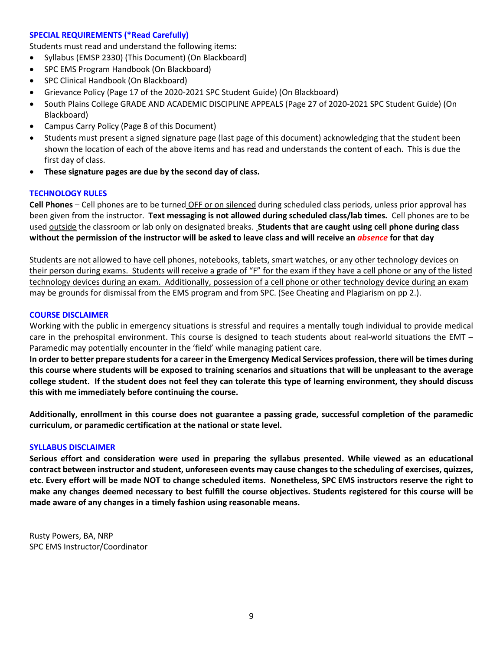## **SPECIAL REQUIREMENTS (\*Read Carefully)**

Students must read and understand the following items:

- Syllabus (EMSP 2330) (This Document) (On Blackboard)
- SPC EMS Program Handbook (On Blackboard)
- SPC Clinical Handbook (On Blackboard)
- Grievance Policy (Page 17 of the 2020-2021 SPC Student Guide) (On Blackboard)
- South Plains College GRADE AND ACADEMIC DISCIPLINE APPEALS (Page 27 of 2020-2021 SPC Student Guide) (On Blackboard)
- Campus Carry Policy (Page 8 of this Document)
- Students must present a signed signature page (last page of this document) acknowledging that the student been shown the location of each of the above items and has read and understands the content of each. This is due the first day of class.
- **These signature pages are due by the second day of class.**

### **TECHNOLOGY RULES**

**Cell Phones** – Cell phones are to be turned OFF or on silenced during scheduled class periods, unless prior approval has been given from the instructor. **Text messaging is not allowed during scheduled class/lab times.** Cell phones are to be used outside the classroom or lab only on designated breaks. **Students that are caught using cell phone during class without the permission of the instructor will be asked to leave class and will receive an** *absence* **for that day**

Students are not allowed to have cell phones, notebooks, tablets, smart watches, or any other technology devices on their person during exams. Students will receive a grade of "F" for the exam if they have a cell phone or any of the listed technology devices during an exam. Additionally, possession of a cell phone or other technology device during an exam may be grounds for dismissal from the EMS program and from SPC. (See Cheating and Plagiarism on pp 2.).

#### **COURSE DISCLAIMER**

Working with the public in emergency situations is stressful and requires a mentally tough individual to provide medical care in the prehospital environment. This course is designed to teach students about real-world situations the EMT – Paramedic may potentially encounter in the 'field' while managing patient care.

**In order to better prepare students for a career in the Emergency Medical Services profession, there will be times during this course where students will be exposed to training scenarios and situations that will be unpleasant to the average college student. If the student does not feel they can tolerate this type of learning environment, they should discuss this with me immediately before continuing the course.**

**Additionally, enrollment in this course does not guarantee a passing grade, successful completion of the paramedic curriculum, or paramedic certification at the national or state level.** 

### **SYLLABUS DISCLAIMER**

**Serious effort and consideration were used in preparing the syllabus presented. While viewed as an educational contract between instructor and student, unforeseen events may cause changes to the scheduling of exercises, quizzes, etc. Every effort will be made NOT to change scheduled items. Nonetheless, SPC EMS instructors reserve the right to make any changes deemed necessary to best fulfill the course objectives. Students registered for this course will be made aware of any changes in a timely fashion using reasonable means.** 

Rusty Powers, BA, NRP SPC EMS Instructor/Coordinator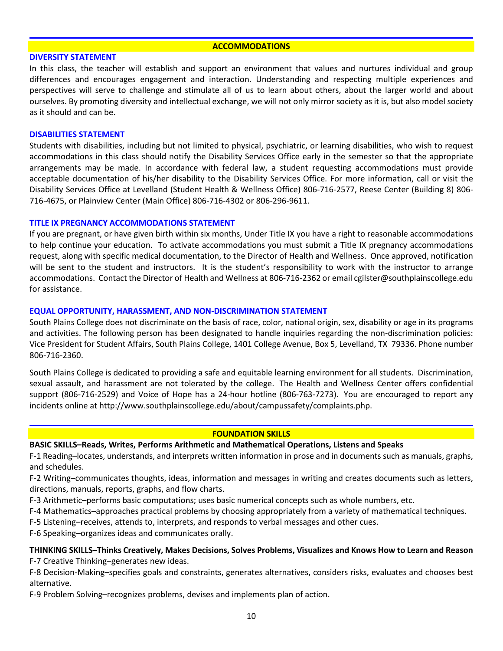#### **ACCOMMODATIONS**

#### **DIVERSITY STATEMENT**

In this class, the teacher will establish and support an environment that values and nurtures individual and group differences and encourages engagement and interaction. Understanding and respecting multiple experiences and perspectives will serve to challenge and stimulate all of us to learn about others, about the larger world and about ourselves. By promoting diversity and intellectual exchange, we will not only mirror society as it is, but also model society as it should and can be.

#### **DISABILITIES STATEMENT**

Students with disabilities, including but not limited to physical, psychiatric, or learning disabilities, who wish to request accommodations in this class should notify the Disability Services Office early in the semester so that the appropriate arrangements may be made. In accordance with federal law, a student requesting accommodations must provide acceptable documentation of his/her disability to the Disability Services Office. For more information, call or visit the Disability Services Office at Levelland (Student Health & Wellness Office) 806-716-2577, Reese Center (Building 8) 806- 716-4675, or Plainview Center (Main Office) 806-716-4302 or 806-296-9611.

#### **TITLE IX PREGNANCY ACCOMMODATIONS STATEMENT**

If you are pregnant, or have given birth within six months, Under Title IX you have a right to reasonable accommodations to help continue your education. To activate accommodations you must submit a Title IX pregnancy accommodations request, along with specific medical documentation, to the Director of Health and Wellness. Once approved, notification will be sent to the student and instructors. It is the student's responsibility to work with the instructor to arrange accommodations. Contact the Director of Health and Wellness at 806-716-2362 or email cgilster@southplainscollege.edu for assistance.

#### **EQUAL OPPORTUNITY, HARASSMENT, AND NON-DISCRIMINATION STATEMENT**

South Plains College does not discriminate on the basis of race, color, national origin, sex, disability or age in its programs and activities. The following person has been designated to handle inquiries regarding the non-discrimination policies: Vice President for Student Affairs, South Plains College, 1401 College Avenue, Box 5, Levelland, TX 79336. Phone number 806-716-2360.

South Plains College is dedicated to providing a safe and equitable learning environment for all students. Discrimination, sexual assault, and harassment are not tolerated by the college. The Health and Wellness Center offers confidential support (806-716-2529) and Voice of Hope has a 24-hour hotline (806-763-7273). You are encouraged to report any incidents online at [http://www.southplainscollege.edu/about/campussafety/complaints.php.](http://www.southplainscollege.edu/about/campussafety/complaints.php)

#### **FOUNDATION SKILLS**

### **BASIC SKILLS–Reads, Writes, Performs Arithmetic and Mathematical Operations, Listens and Speaks**

F-1 Reading–locates, understands, and interprets written information in prose and in documents such as manuals, graphs, and schedules.

F-2 Writing–communicates thoughts, ideas, information and messages in writing and creates documents such as letters, directions, manuals, reports, graphs, and flow charts.

- F-3 Arithmetic–performs basic computations; uses basic numerical concepts such as whole numbers, etc.
- F-4 Mathematics–approaches practical problems by choosing appropriately from a variety of mathematical techniques.
- F-5 Listening–receives, attends to, interprets, and responds to verbal messages and other cues.
- F-6 Speaking–organizes ideas and communicates orally.

### **THINKING SKILLS–Thinks Creatively, Makes Decisions, Solves Problems, Visualizes and Knows How to Learn and Reason**

F-7 Creative Thinking–generates new ideas.

F-8 Decision-Making–specifies goals and constraints, generates alternatives, considers risks, evaluates and chooses best alternative.

F-9 Problem Solving–recognizes problems, devises and implements plan of action.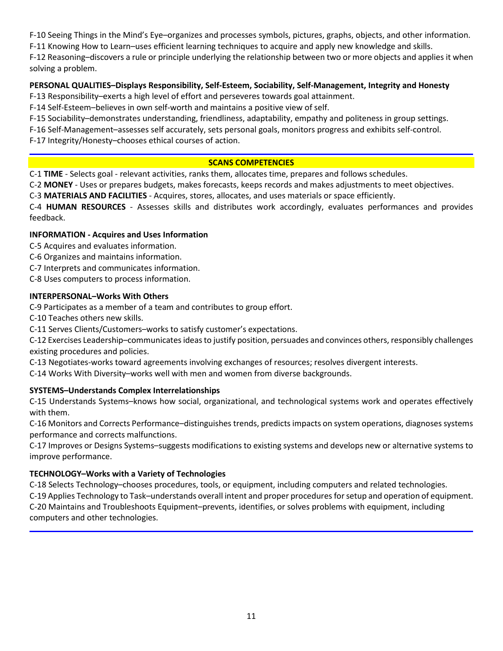F-10 Seeing Things in the Mind's Eye–organizes and processes symbols, pictures, graphs, objects, and other information.

F-11 Knowing How to Learn–uses efficient learning techniques to acquire and apply new knowledge and skills.

F-12 Reasoning–discovers a rule or principle underlying the relationship between two or more objects and applies it when solving a problem.

# **PERSONAL QUALITIES–Displays Responsibility, Self-Esteem, Sociability, Self-Management, Integrity and Honesty**

F-13 Responsibility–exerts a high level of effort and perseveres towards goal attainment.

F-14 Self-Esteem–believes in own self-worth and maintains a positive view of self.

F-15 Sociability–demonstrates understanding, friendliness, adaptability, empathy and politeness in group settings.

F-16 Self-Management–assesses self accurately, sets personal goals, monitors progress and exhibits self-control.

F-17 Integrity/Honesty–chooses ethical courses of action.

# **SCANS COMPETENCIES**

C-1 **TIME** - Selects goal - relevant activities, ranks them, allocates time, prepares and follows schedules.

C-2 **MONEY** - Uses or prepares budgets, makes forecasts, keeps records and makes adjustments to meet objectives.

C-3 **MATERIALS AND FACILITIES** - Acquires, stores, allocates, and uses materials or space efficiently.

C-4 **HUMAN RESOURCES** - Assesses skills and distributes work accordingly, evaluates performances and provides feedback.

# **INFORMATION - Acquires and Uses Information**

- C-5 Acquires and evaluates information.
- C-6 Organizes and maintains information.
- C-7 Interprets and communicates information.
- C-8 Uses computers to process information.

# **INTERPERSONAL–Works With Others**

C-9 Participates as a member of a team and contributes to group effort.

C-10 Teaches others new skills.

C-11 Serves Clients/Customers–works to satisfy customer's expectations.

C-12 Exercises Leadership–communicates ideas to justify position, persuades and convinces others, responsibly challenges existing procedures and policies.

C-13 Negotiates-works toward agreements involving exchanges of resources; resolves divergent interests.

C-14 Works With Diversity–works well with men and women from diverse backgrounds.

# **SYSTEMS–Understands Complex Interrelationships**

C-15 Understands Systems–knows how social, organizational, and technological systems work and operates effectively with them.

C-16 Monitors and Corrects Performance–distinguishes trends, predicts impacts on system operations, diagnoses systems performance and corrects malfunctions.

C-17 Improves or Designs Systems–suggests modifications to existing systems and develops new or alternative systems to improve performance.

# **TECHNOLOGY–Works with a Variety of Technologies**

C-18 Selects Technology–chooses procedures, tools, or equipment, including computers and related technologies. C-19 Applies Technology to Task–understands overall intent and proper procedures for setup and operation of equipment. C-20 Maintains and Troubleshoots Equipment–prevents, identifies, or solves problems with equipment, including computers and other technologies.